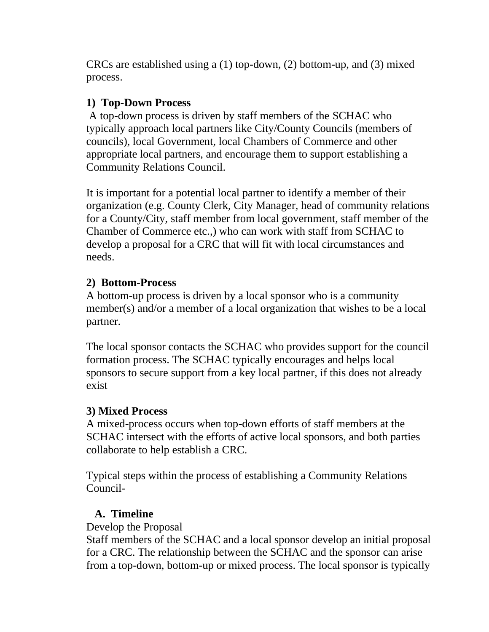CRCs are established using a (1) top-down, (2) bottom-up, and (3) mixed process.

### **1) Top-Down Process**

A top-down process is driven by staff members of the SCHAC who typically approach local partners like City/County Councils (members of councils), local Government, local Chambers of Commerce and other appropriate local partners, and encourage them to support establishing a Community Relations Council.

It is important for a potential local partner to identify a member of their organization (e.g. County Clerk, City Manager, head of community relations for a County/City, staff member from local government, staff member of the Chamber of Commerce etc.,) who can work with staff from SCHAC to develop a proposal for a CRC that will fit with local circumstances and needs.

# **2) Bottom-Process**

A bottom-up process is driven by a local sponsor who is a community member(s) and/or a member of a local organization that wishes to be a local partner.

The local sponsor contacts the SCHAC who provides support for the council formation process. The SCHAC typically encourages and helps local sponsors to secure support from a key local partner, if this does not already exist

# **3) Mixed Process**

A mixed-process occurs when top-down efforts of staff members at the SCHAC intersect with the efforts of active local sponsors, and both parties collaborate to help establish a CRC.

Typical steps within the process of establishing a Community Relations Council-

### **A. Timeline**

Develop the Proposal

Staff members of the SCHAC and a local sponsor develop an initial proposal for a CRC. The relationship between the SCHAC and the sponsor can arise from a top-down, bottom-up or mixed process. The local sponsor is typically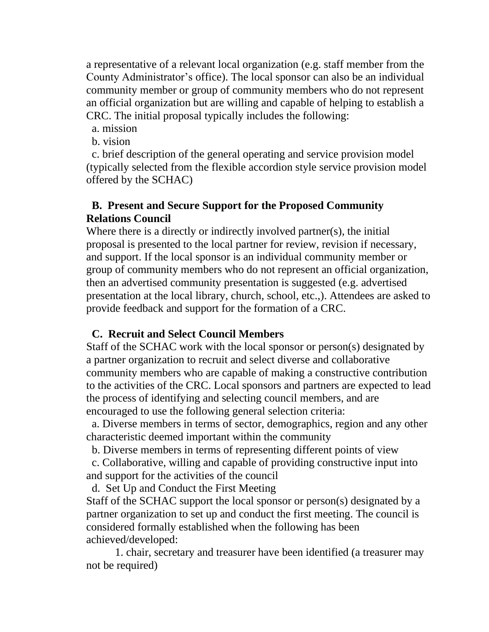a representative of a relevant local organization (e.g. staff member from the County Administrator's office). The local sponsor can also be an individual community member or group of community members who do not represent an official organization but are willing and capable of helping to establish a CRC. The initial proposal typically includes the following:

- a. mission
- b. vision

 c. brief description of the general operating and service provision model (typically selected from the flexible accordion style service provision model offered by the SCHAC)

#### **B. Present and Secure Support for the Proposed Community Relations Council**

Where there is a directly or indirectly involved partner(s), the initial proposal is presented to the local partner for review, revision if necessary, and support. If the local sponsor is an individual community member or group of community members who do not represent an official organization, then an advertised community presentation is suggested (e.g. advertised presentation at the local library, church, school, etc.,). Attendees are asked to provide feedback and support for the formation of a CRC.

### **C. Recruit and Select Council Members**

Staff of the SCHAC work with the local sponsor or person(s) designated by a partner organization to recruit and select diverse and collaborative community members who are capable of making a constructive contribution to the activities of the CRC. Local sponsors and partners are expected to lead the process of identifying and selecting council members, and are encouraged to use the following general selection criteria:

 a. Diverse members in terms of sector, demographics, region and any other characteristic deemed important within the community

b. Diverse members in terms of representing different points of view

 c. Collaborative, willing and capable of providing constructive input into and support for the activities of the council

d. Set Up and Conduct the First Meeting

Staff of the SCHAC support the local sponsor or person(s) designated by a partner organization to set up and conduct the first meeting. The council is considered formally established when the following has been achieved/developed:

1. chair, secretary and treasurer have been identified (a treasurer may not be required)